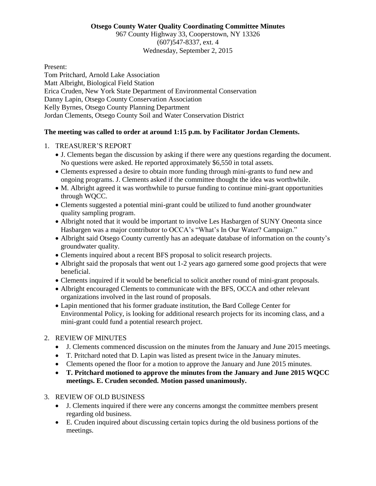#### **Otsego County Water Quality Coordinating Committee Minutes**

967 County Highway 33, Cooperstown, NY 13326 (607)547-8337, ext. 4 Wednesday, September 2, 2015

Present:

Tom Pritchard, Arnold Lake Association Matt Albright, Biological Field Station Erica Cruden, New York State Department of Environmental Conservation Danny Lapin, Otsego County Conservation Association Kelly Byrnes, Otsego County Planning Department Jordan Clements, Otsego County Soil and Water Conservation District

### **The meeting was called to order at around 1:15 p.m. by Facilitator Jordan Clements.**

- 1. TREASURER'S REPORT
	- J. Clements began the discussion by asking if there were any questions regarding the document. No questions were asked. He reported approximately \$6,550 in total assets.
	- Clements expressed a desire to obtain more funding through mini-grants to fund new and ongoing programs. J. Clements asked if the committee thought the idea was worthwhile.
	- M. Albright agreed it was worthwhile to pursue funding to continue mini-grant opportunities through WQCC.
	- Clements suggested a potential mini-grant could be utilized to fund another groundwater quality sampling program.
	- Albright noted that it would be important to involve Les Hasbargen of SUNY Oneonta since Hasbargen was a major contributor to OCCA's "What's In Our Water? Campaign."
	- Albright said Otsego County currently has an adequate database of information on the county's groundwater quality.
	- Clements inquired about a recent BFS proposal to solicit research projects.
	- Albright said the proposals that went out 1-2 years ago garnered some good projects that were beneficial.
	- Clements inquired if it would be beneficial to solicit another round of mini-grant proposals.
	- Albright encouraged Clements to communicate with the BFS, OCCA and other relevant organizations involved in the last round of proposals.
	- Lapin mentioned that his former graduate institution, the Bard College Center for Environmental Policy, is looking for additional research projects for its incoming class, and a mini-grant could fund a potential research project.

### 2. REVIEW OF MINUTES

- J. Clements commenced discussion on the minutes from the January and June 2015 meetings.
- T. Pritchard noted that D. Lapin was listed as present twice in the January minutes.
- Clements opened the floor for a motion to approve the January and June 2015 minutes.
- **T. Pritchard motioned to approve the minutes from the January and June 2015 WQCC meetings. E. Cruden seconded. Motion passed unanimously.**

## 3. REVIEW OF OLD BUSINESS

- J. Clements inquired if there were any concerns amongst the committee members present regarding old business.
- E. Cruden inquired about discussing certain topics during the old business portions of the meetings.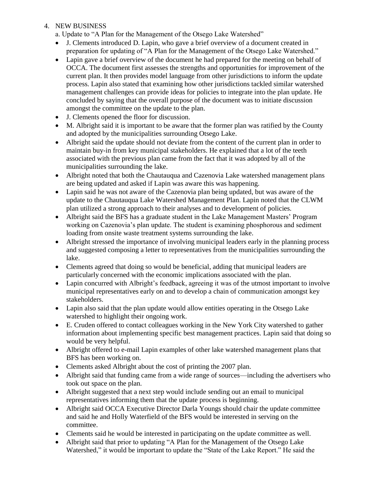### 4. NEW BUSINESS

- a. Update to "A Plan for the Management of the Otsego Lake Watershed"
- J. Clements introduced D. Lapin, who gave a brief overview of a document created in preparation for updating of "A Plan for the Management of the Otsego Lake Watershed."
- Lapin gave a brief overview of the document he had prepared for the meeting on behalf of OCCA. The document first assesses the strengths and opportunities for improvement of the current plan. It then provides model language from other jurisdictions to inform the update process. Lapin also stated that examining how other jurisdictions tackled similar watershed management challenges can provide ideas for policies to integrate into the plan update. He concluded by saying that the overall purpose of the document was to initiate discussion amongst the committee on the update to the plan.
- J. Clements opened the floor for discussion.
- M. Albright said it is important to be aware that the former plan was ratified by the County and adopted by the municipalities surrounding Otsego Lake.
- Albright said the update should not deviate from the content of the current plan in order to maintain buy-in from key municipal stakeholders. He explained that a lot of the teeth associated with the previous plan came from the fact that it was adopted by all of the municipalities surrounding the lake.
- Albright noted that both the Chautauqua and Cazenovia Lake watershed management plans are being updated and asked if Lapin was aware this was happening.
- Lapin said he was not aware of the Cazenovia plan being updated, but was aware of the update to the Chautauqua Lake Watershed Management Plan. Lapin noted that the CLWM plan utilized a strong approach to their analyses and to development of policies.
- Albright said the BFS has a graduate student in the Lake Management Masters' Program working on Cazenovia's plan update. The student is examining phosphorous and sediment loading from onsite waste treatment systems surrounding the lake.
- Albright stressed the importance of involving municipal leaders early in the planning process and suggested composing a letter to representatives from the municipalities surrounding the lake.
- Clements agreed that doing so would be beneficial, adding that municipal leaders are particularly concerned with the economic implications associated with the plan.
- Lapin concurred with Albright's feedback, agreeing it was of the utmost important to involve municipal representatives early on and to develop a chain of communication amongst key stakeholders.
- Lapin also said that the plan update would allow entities operating in the Otsego Lake watershed to highlight their ongoing work.
- E. Cruden offered to contact colleagues working in the New York City watershed to gather information about implementing specific best management practices. Lapin said that doing so would be very helpful.
- Albright offered to e-mail Lapin examples of other lake watershed management plans that BFS has been working on.
- Clements asked Albright about the cost of printing the 2007 plan.
- Albright said that funding came from a wide range of sources—including the advertisers who took out space on the plan.
- Albright suggested that a next step would include sending out an email to municipal representatives informing them that the update process is beginning.
- Albright said OCCA Executive Director Darla Youngs should chair the update committee and said he and Holly Waterfield of the BFS would be interested in serving on the committee.
- Clements said he would be interested in participating on the update committee as well.
- Albright said that prior to updating "A Plan for the Management of the Otsego Lake Watershed," it would be important to update the "State of the Lake Report." He said the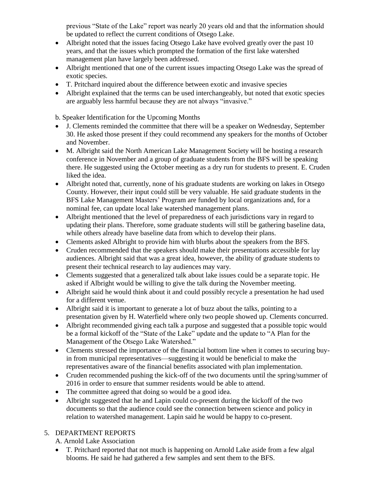previous "State of the Lake" report was nearly 20 years old and that the information should be updated to reflect the current conditions of Otsego Lake.

- Albright noted that the issues facing Otsego Lake have evolved greatly over the past 10 years, and that the issues which prompted the formation of the first lake watershed management plan have largely been addressed.
- Albright mentioned that one of the current issues impacting Otsego Lake was the spread of exotic species.
- T. Pritchard inquired about the difference between exotic and invasive species
- Albright explained that the terms can be used interchangeably, but noted that exotic species are arguably less harmful because they are not always "invasive."

b. Speaker Identification for the Upcoming Months

- J. Clements reminded the committee that there will be a speaker on Wednesday, September 30. He asked those present if they could recommend any speakers for the months of October and November.
- M. Albright said the North American Lake Management Society will be hosting a research conference in November and a group of graduate students from the BFS will be speaking there. He suggested using the October meeting as a dry run for students to present. E. Cruden liked the idea.
- Albright noted that, currently, none of his graduate students are working on lakes in Otsego County. However, their input could still be very valuable. He said graduate students in the BFS Lake Management Masters' Program are funded by local organizations and, for a nominal fee, can update local lake watershed management plans.
- Albright mentioned that the level of preparedness of each jurisdictions vary in regard to updating their plans. Therefore, some graduate students will still be gathering baseline data, while others already have baseline data from which to develop their plans.
- Clements asked Albright to provide him with blurbs about the speakers from the BFS.
- Cruden recommended that the speakers should make their presentations accessible for lay audiences. Albright said that was a great idea, however, the ability of graduate students to present their technical research to lay audiences may vary.
- Clements suggested that a generalized talk about lake issues could be a separate topic. He asked if Albright would be willing to give the talk during the November meeting.
- Albright said he would think about it and could possibly recycle a presentation he had used for a different venue.
- Albright said it is important to generate a lot of buzz about the talks, pointing to a presentation given by H. Waterfield where only two people showed up. Clements concurred.
- Albright recommended giving each talk a purpose and suggested that a possible topic would be a formal kickoff of the "State of the Lake" update and the update to "A Plan for the Management of the Otsego Lake Watershed."
- Clements stressed the importance of the financial bottom line when it comes to securing buyin from municipal representatives—suggesting it would be beneficial to make the representatives aware of the financial benefits associated with plan implementation.
- Cruden recommended pushing the kick-off of the two documents until the spring/summer of 2016 in order to ensure that summer residents would be able to attend.
- The committee agreed that doing so would be a good idea.
- Albright suggested that he and Lapin could co-present during the kickoff of the two documents so that the audience could see the connection between science and policy in relation to watershed management. Lapin said he would be happy to co-present.

## 5. DEPARTMENT REPORTS

A. Arnold Lake Association

 T. Pritchard reported that not much is happening on Arnold Lake aside from a few algal blooms. He said he had gathered a few samples and sent them to the BFS.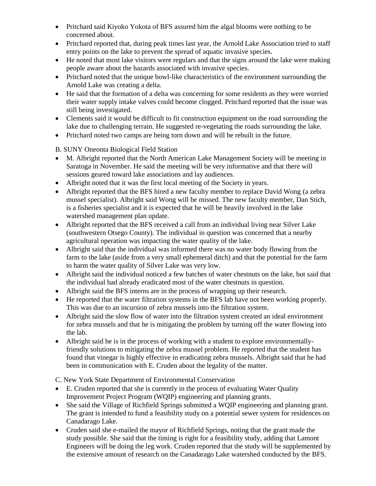- Pritchard said Kiyoko Yokota of BFS assured him the algal blooms were nothing to be concerned about.
- Pritchard reported that, during peak times last year, the Arnold Lake Association tried to staff entry points on the lake to prevent the spread of aquatic invasive species.
- He noted that most lake visitors were regulars and that the signs around the lake were making people aware about the hazards associated with invasive species.
- Pritchard noted that the unique bowl-like characteristics of the environment surrounding the Arnold Lake was creating a delta.
- He said that the formation of a delta was concerning for some residents as they were worried their water supply intake valves could become clogged. Pritchard reported that the issue was still being investigated.
- Clements said it would be difficult to fit construction equipment on the road surrounding the lake due to challenging terrain. He suggested re-vegetating the roads surrounding the lake.
- Pritchard noted two camps are being torn down and will be rebuilt in the future.

# B. SUNY Oneonta Biological Field Station

- M. Albright reported that the North American Lake Management Society will be meeting in Saratoga in November. He said the meeting will be very informative and that there will sessions geared toward lake associations and lay audiences.
- Albright noted that it was the first local meeting of the Society in years.
- Albright reported that the BFS hired a new faculty member to replace David Wong (a zebra mussel specialist). Albright said Wong will be missed. The new faculty member, Dan Stich, is a fisheries specialist and it is expected that he will be heavily involved in the lake watershed management plan update.
- Albright reported that the BFS received a call from an individual living near Silver Lake (southwestern Otsego County). The individual in question was concerned that a nearby agricultural operation was impacting the water quality of the lake.
- Albright said that the individual was informed there was no water body flowing from the farm to the lake (aside from a very small ephemeral ditch) and that the potential for the farm to harm the water quality of Silver Lake was very low.
- Albright said the individual noticed a few batches of water chestnuts on the lake, but said that the individual had already eradicated most of the water chestnuts in question.
- Albright said the BFS interns are in the process of wrapping up their research.
- He reported that the water filtration systems in the BFS lab have not been working properly. This was due to an incursion of zebra mussels into the filtration system.
- Albright said the slow flow of water into the filtration system created an ideal environment for zebra mussels and that he is mitigating the problem by turning off the water flowing into the lab.
- Albright said he is in the process of working with a student to explore environmentallyfriendly solutions to mitigating the zebra mussel problem. He reported that the student has found that vinegar is highly effective in eradicating zebra mussels. Albright said that he had been in communication with E. Cruden about the legality of the matter.

C. New York State Department of Environmental Conservation

- E. Cruden reported that she is currently in the process of evaluating Water Quality Improvement Project Program (WQIP) engineering and planning grants.
- She said the Village of Richfield Springs submitted a WQIP engineering and planning grant. The grant is intended to fund a feasibility study on a potential sewer system for residences on Canadarago Lake.
- Cruden said she e-mailed the mayor of Richfield Springs, noting that the grant made the study possible. She said that the timing is right for a feasibility study, adding that Lamont Engineers will be doing the leg work. Cruden reported that the study will be supplemented by the extensive amount of research on the Canadarago Lake watershed conducted by the BFS.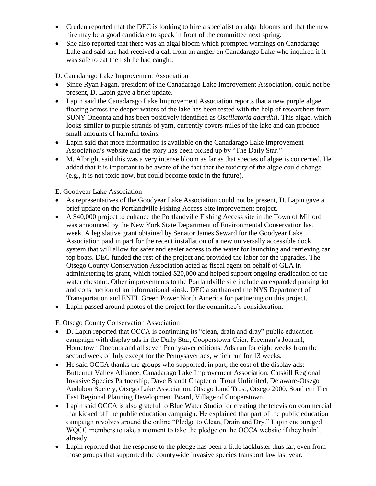- Cruden reported that the DEC is looking to hire a specialist on algal blooms and that the new hire may be a good candidate to speak in front of the committee next spring.
- She also reported that there was an algal bloom which prompted warnings on Canadarago Lake and said she had received a call from an angler on Canadarago Lake who inquired if it was safe to eat the fish he had caught.

D. Canadarago Lake Improvement Association

- Since Ryan Fagan, president of the Canadarago Lake Improvement Association, could not be present, D. Lapin gave a brief update.
- Lapin said the Canadarago Lake Improvement Association reports that a new purple algae floating across the deeper waters of the lake has been tested with the help of researchers from SUNY Oneonta and has been positively identified as *Oscillatoria agardhii*. This algae, which looks similar to purple strands of yarn, currently covers miles of the lake and can produce small amounts of harmful toxins.
- Lapin said that more information is available on the Canadarago Lake Improvement Association's website and the story has been picked up by "The Daily Star."
- M. Albright said this was a very intense bloom as far as that species of algae is concerned. He added that it is important to be aware of the fact that the toxicity of the algae could change (e.g., it is not toxic now, but could become toxic in the future).

E. Goodyear Lake Association

- As representatives of the Goodyear Lake Association could not be present, D. Lapin gave a brief update on the Portlandville Fishing Access Site improvement project.
- A \$40,000 project to enhance the Portlandville Fishing Access site in the Town of Milford was announced by the New York State Department of Environmental Conservation last week. A legislative grant obtained by Senator James Seward for the Goodyear Lake Association paid in part for the recent installation of a new universally accessible dock system that will allow for safer and easier access to the water for launching and retrieving car top boats. DEC funded the rest of the project and provided the labor for the upgrades. The Otsego County Conservation Association acted as fiscal agent on behalf of GLA in administering its grant, which totaled \$20,000 and helped support ongoing eradication of the water chestnut. Other improvements to the Portlandville site include an expanded parking lot and construction of an informational kiosk. DEC also thanked the NYS Department of Transportation and ENEL Green Power North America for partnering on this project.
- Lapin passed around photos of the project for the committee's consideration.

F. Otsego County Conservation Association

- D. Lapin reported that OCCA is continuing its "clean, drain and dray" public education campaign with display ads in the Daily Star, Cooperstown Crier, Freeman's Journal, Hometown Oneonta and all seven Pennysaver editions. Ads run for eight weeks from the second week of July except for the Pennysaver ads, which run for 13 weeks.
- He said OCCA thanks the groups who supported, in part, the cost of the display ads: Butternut Valley Alliance, Canadarago Lake Improvement Association, Catskill Regional Invasive Species Partnership, Dave Brandt Chapter of Trout Unlimited, Delaware-Otsego Audubon Society, Otsego Lake Association, Otsego Land Trust, Otsego 2000, Southern Tier East Regional Planning Development Board, Village of Cooperstown.
- Lapin said OCCA is also grateful to Blue Water Studio for creating the television commercial that kicked off the public education campaign. He explained that part of the public education campaign revolves around the online "Pledge to Clean, Drain and Dry." Lapin encouraged WQCC members to take a moment to take the pledge on the OCCA website if they hadn't already.
- Lapin reported that the response to the pledge has been a little lackluster thus far, even from those groups that supported the countywide invasive species transport law last year.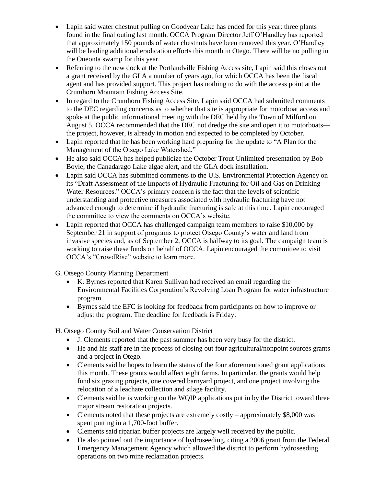- Lapin said water chestnut pulling on Goodyear Lake has ended for this year: three plants found in the final outing last month. OCCA Program Director Jeff O'Handley has reported that approximately 150 pounds of water chestnuts have been removed this year. O'Handley will be leading additional eradication efforts this month in Otego. There will be no pulling in the Oneonta swamp for this year.
- Referring to the new dock at the Portlandville Fishing Access site, Lapin said this closes out a grant received by the GLA a number of years ago, for which OCCA has been the fiscal agent and has provided support. This project has nothing to do with the access point at the Crumhorn Mountain Fishing Access Site.
- In regard to the Crumhorn Fishing Access Site, Lapin said OCCA had submitted comments to the DEC regarding concerns as to whether that site is appropriate for motorboat access and spoke at the public informational meeting with the DEC held by the Town of Milford on August 5. OCCA recommended that the DEC not dredge the site and open it to motorboats the project, however, is already in motion and expected to be completed by October.
- Lapin reported that he has been working hard preparing for the update to "A Plan for the Management of the Otsego Lake Watershed."
- He also said OCCA has helped publicize the October Trout Unlimited presentation by Bob Boyle, the Canadarago Lake algae alert, and the GLA dock installation.
- Lapin said OCCA has submitted comments to the U.S. Environmental Protection Agency on its "Draft Assessment of the Impacts of Hydraulic Fracturing for Oil and Gas on Drinking Water Resources." OCCA's primary concern is the fact that the levels of scientific understanding and protective measures associated with hydraulic fracturing have not advanced enough to determine if hydraulic fracturing is safe at this time. Lapin encouraged the committee to view the comments on OCCA's website.
- Lapin reported that OCCA has challenged campaign team members to raise \$10,000 by September 21 in support of programs to protect Otsego County's water and land from invasive species and, as of September 2, OCCA is halfway to its goal. The campaign team is working to raise these funds on behalf of OCCA. Lapin encouraged the committee to visit OCCA's "CrowdRise" website to learn more.
- G. Otsego County Planning Department
	- K. Byrnes reported that Karen Sullivan had received an email regarding the Environmental Facilities Corporation's Revolving Loan Program for water infrastructure program.
	- Byrnes said the EFC is looking for feedback from participants on how to improve or adjust the program. The deadline for feedback is Friday.

H. Otsego County Soil and Water Conservation District

- J. Clements reported that the past summer has been very busy for the district.
- He and his staff are in the process of closing out four agricultural/nonpoint sources grants and a project in Otego.
- Clements said he hopes to learn the status of the four aforementioned grant applications this month. These grants would affect eight farms. In particular, the grants would help fund six grazing projects, one covered barnyard project, and one project involving the relocation of a leachate collection and silage facility.
- Clements said he is working on the WQIP applications put in by the District toward three major stream restoration projects.
- Clements noted that these projects are extremely costly approximately \$8,000 was spent putting in a 1,700-foot buffer.
- Clements said riparian buffer projects are largely well received by the public.
- He also pointed out the importance of hydroseeding, citing a 2006 grant from the Federal Emergency Management Agency which allowed the district to perform hydroseeding operations on two mine reclamation projects.